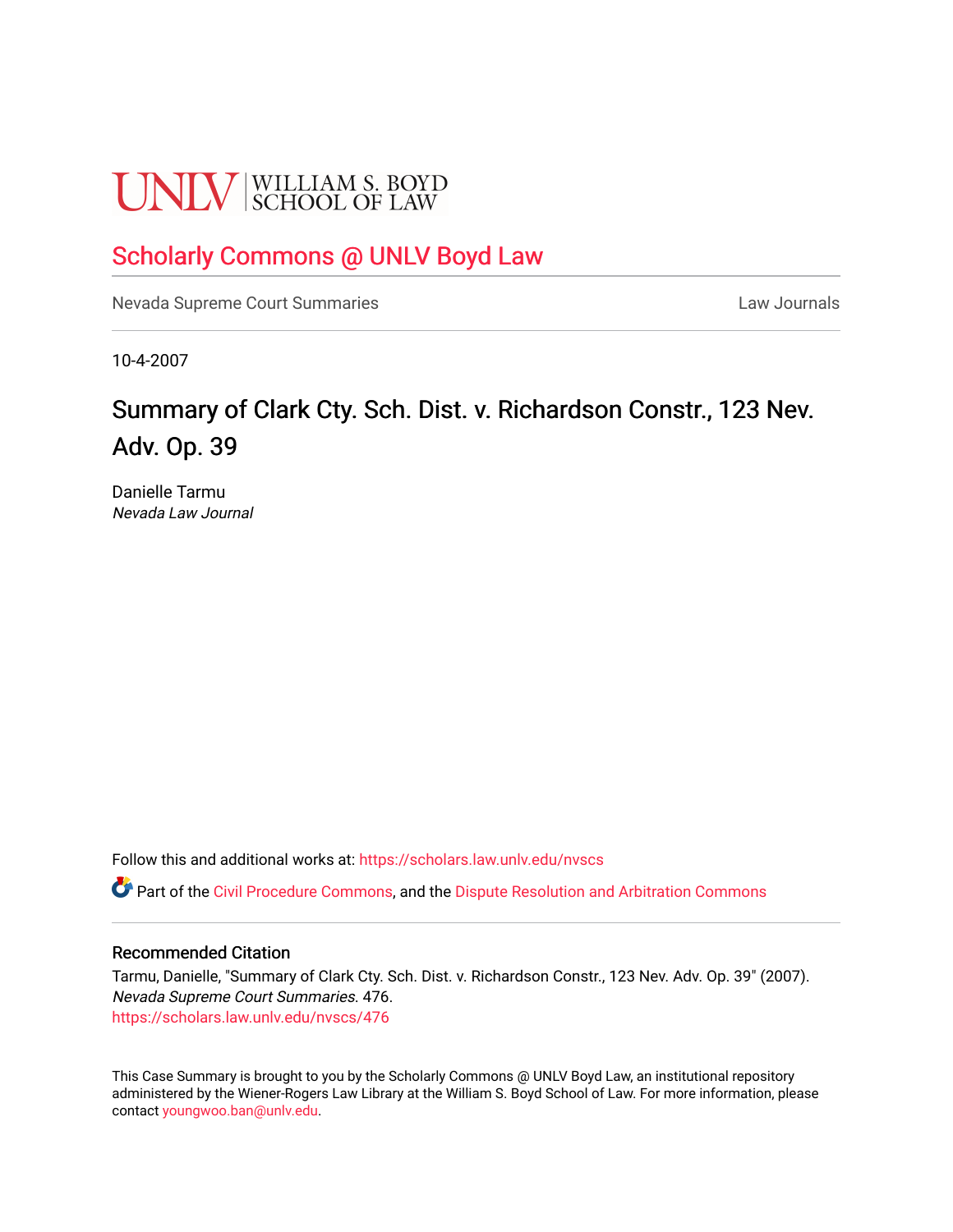# **UNLV** SCHOOL OF LAW

# [Scholarly Commons @ UNLV Boyd Law](https://scholars.law.unlv.edu/)

[Nevada Supreme Court Summaries](https://scholars.law.unlv.edu/nvscs) **Law Journals** Law Journals

10-4-2007

# Summary of Clark Cty. Sch. Dist. v. Richardson Constr., 123 Nev. Adv. Op. 39

Danielle Tarmu Nevada Law Journal

Follow this and additional works at: [https://scholars.law.unlv.edu/nvscs](https://scholars.law.unlv.edu/nvscs?utm_source=scholars.law.unlv.edu%2Fnvscs%2F476&utm_medium=PDF&utm_campaign=PDFCoverPages)

Part of the [Civil Procedure Commons,](http://network.bepress.com/hgg/discipline/584?utm_source=scholars.law.unlv.edu%2Fnvscs%2F476&utm_medium=PDF&utm_campaign=PDFCoverPages) and the [Dispute Resolution and Arbitration Commons](http://network.bepress.com/hgg/discipline/890?utm_source=scholars.law.unlv.edu%2Fnvscs%2F476&utm_medium=PDF&utm_campaign=PDFCoverPages) 

#### Recommended Citation

Tarmu, Danielle, "Summary of Clark Cty. Sch. Dist. v. Richardson Constr., 123 Nev. Adv. Op. 39" (2007). Nevada Supreme Court Summaries. 476. [https://scholars.law.unlv.edu/nvscs/476](https://scholars.law.unlv.edu/nvscs/476?utm_source=scholars.law.unlv.edu%2Fnvscs%2F476&utm_medium=PDF&utm_campaign=PDFCoverPages)

This Case Summary is brought to you by the Scholarly Commons @ UNLV Boyd Law, an institutional repository administered by the Wiener-Rogers Law Library at the William S. Boyd School of Law. For more information, please contact [youngwoo.ban@unlv.edu](mailto:youngwoo.ban@unlv.edu).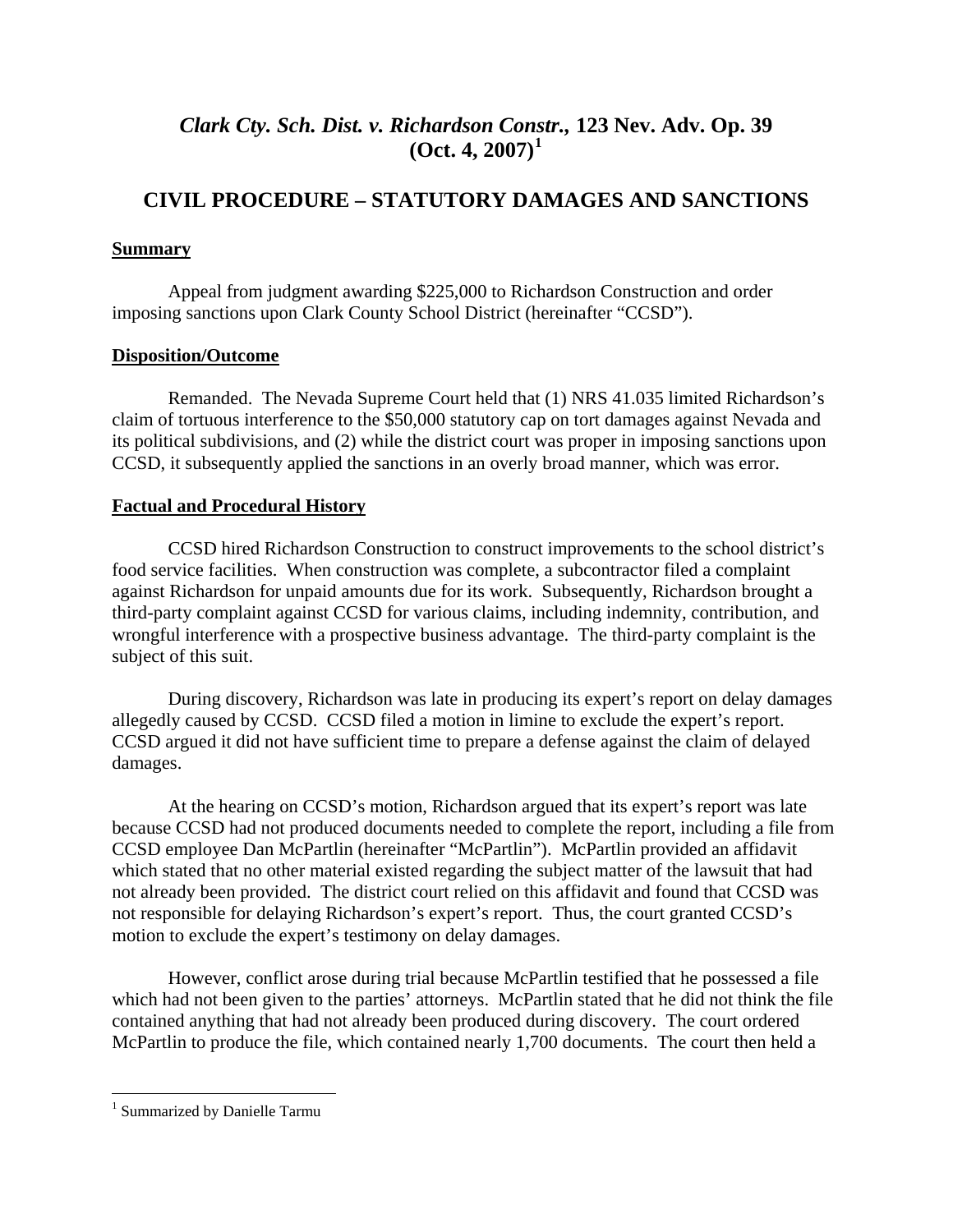# *Clark Cty. Sch. Dist. v. Richardson Constr.,* **123 Nev. Adv. Op. 39**   $(Oct. 4, 2007)^1$  $(Oct. 4, 2007)^1$

# **CIVIL PROCEDURE – STATUTORY DAMAGES AND SANCTIONS**

## **Summary**

Appeal from judgment awarding \$225,000 to Richardson Construction and order imposing sanctions upon Clark County School District (hereinafter "CCSD").

## **Disposition/Outcome**

 Remanded. The Nevada Supreme Court held that (1) NRS 41.035 limited Richardson's claim of tortuous interference to the \$50,000 statutory cap on tort damages against Nevada and its political subdivisions, and (2) while the district court was proper in imposing sanctions upon CCSD, it subsequently applied the sanctions in an overly broad manner, which was error.

### **Factual and Procedural History**

CCSD hired Richardson Construction to construct improvements to the school district's food service facilities. When construction was complete, a subcontractor filed a complaint against Richardson for unpaid amounts due for its work. Subsequently, Richardson brought a third-party complaint against CCSD for various claims, including indemnity, contribution, and wrongful interference with a prospective business advantage. The third-party complaint is the subject of this suit.

During discovery, Richardson was late in producing its expert's report on delay damages allegedly caused by CCSD. CCSD filed a motion in limine to exclude the expert's report. CCSD argued it did not have sufficient time to prepare a defense against the claim of delayed damages.

At the hearing on CCSD's motion, Richardson argued that its expert's report was late because CCSD had not produced documents needed to complete the report, including a file from CCSD employee Dan McPartlin (hereinafter "McPartlin"). McPartlin provided an affidavit which stated that no other material existed regarding the subject matter of the lawsuit that had not already been provided. The district court relied on this affidavit and found that CCSD was not responsible for delaying Richardson's expert's report. Thus, the court granted CCSD's motion to exclude the expert's testimony on delay damages.

However, conflict arose during trial because McPartlin testified that he possessed a file which had not been given to the parties' attorneys. McPartlin stated that he did not think the file contained anything that had not already been produced during discovery. The court ordered McPartlin to produce the file, which contained nearly 1,700 documents. The court then held a

 $\overline{a}$ 

<span id="page-1-0"></span><sup>&</sup>lt;sup>1</sup> Summarized by Danielle Tarmu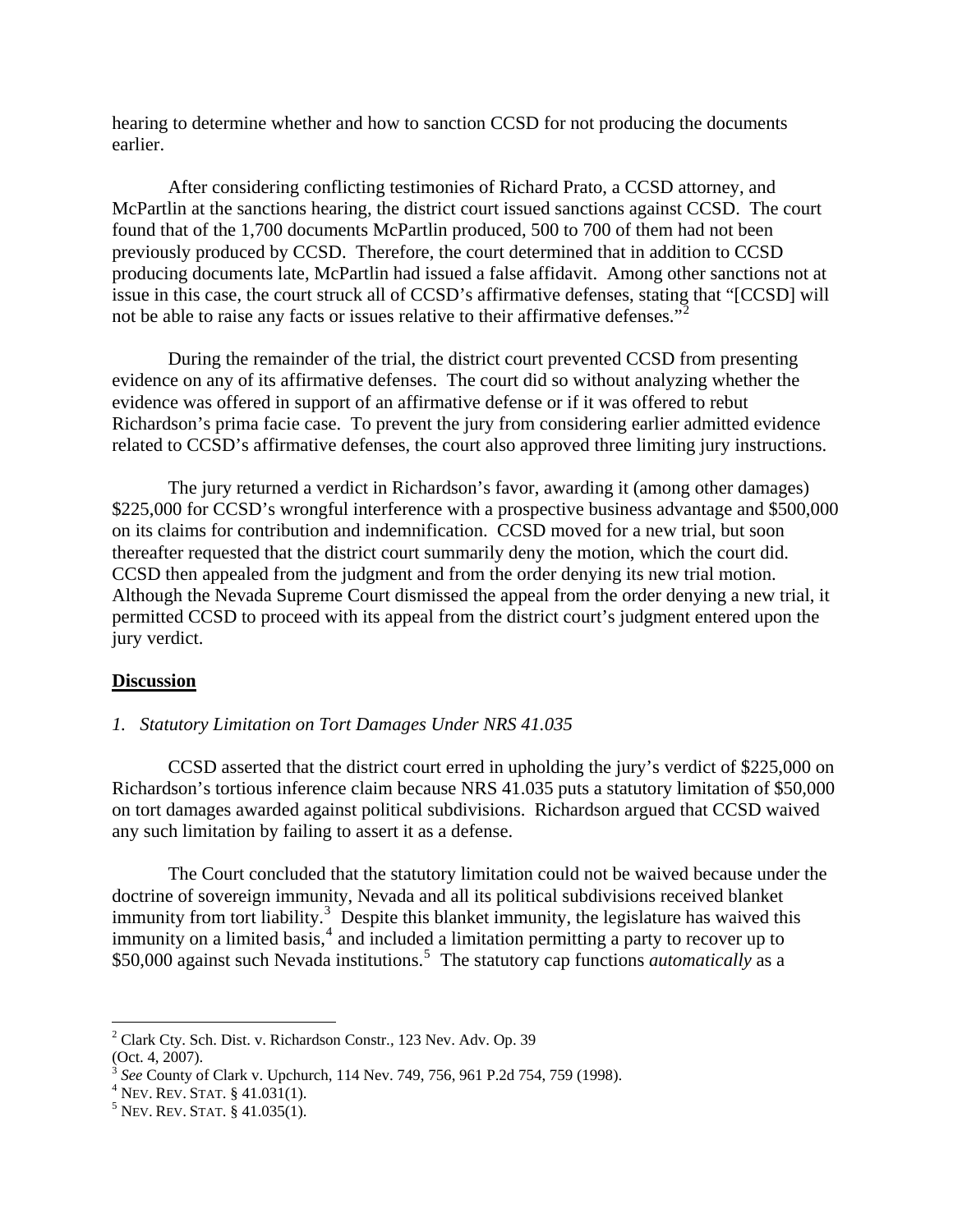hearing to determine whether and how to sanction CCSD for not producing the documents earlier.

After considering conflicting testimonies of Richard Prato, a CCSD attorney, and McPartlin at the sanctions hearing, the district court issued sanctions against CCSD. The court found that of the 1,700 documents McPartlin produced, 500 to 700 of them had not been previously produced by CCSD. Therefore, the court determined that in addition to CCSD producing documents late, McPartlin had issued a false affidavit. Among other sanctions not at issue in this case, the court struck all of CCSD's affirmative defenses, stating that "[CCSD] will not be able to raise any facts or issues relative to their affirmative defenses."<sup>[2](#page-2-0)</sup>

During the remainder of the trial, the district court prevented CCSD from presenting evidence on any of its affirmative defenses. The court did so without analyzing whether the evidence was offered in support of an affirmative defense or if it was offered to rebut Richardson's prima facie case. To prevent the jury from considering earlier admitted evidence related to CCSD's affirmative defenses, the court also approved three limiting jury instructions.

The jury returned a verdict in Richardson's favor, awarding it (among other damages) \$225,000 for CCSD's wrongful interference with a prospective business advantage and \$500,000 on its claims for contribution and indemnification. CCSD moved for a new trial, but soon thereafter requested that the district court summarily deny the motion, which the court did. CCSD then appealed from the judgment and from the order denying its new trial motion. Although the Nevada Supreme Court dismissed the appeal from the order denying a new trial, it permitted CCSD to proceed with its appeal from the district court's judgment entered upon the jury verdict.

#### **Discussion**

#### *1. Statutory Limitation on Tort Damages Under NRS 41.035*

CCSD asserted that the district court erred in upholding the jury's verdict of \$225,000 on Richardson's tortious inference claim because NRS 41.035 puts a statutory limitation of \$50,000 on tort damages awarded against political subdivisions. Richardson argued that CCSD waived any such limitation by failing to assert it as a defense.

The Court concluded that the statutory limitation could not be waived because under the doctrine of sovereign immunity, Nevada and all its political subdivisions received blanket immunity from tort liability.<sup>[3](#page-2-1)</sup> Despite this blanket immunity, the legislature has waived this  $\lim_{x \to a}$  on a limited basis,<sup>[4](#page-2-2)</sup> and included a limitation permitting a party to recover up to \$[5](#page-2-3)0,000 against such Nevada institutions.<sup>5</sup> The statutory cap functions *automatically* as a

1

<span id="page-2-0"></span><sup>2</sup> Clark Cty. Sch. Dist. v. Richardson Constr.*,* 123 Nev. Adv. Op. 39

<sup>(</sup>Oct. 4, 2007).

<sup>&</sup>lt;sup>3</sup> See County of Clark v. Upchurch, 114 Nev. 749, 756, 961 P.2d 754, 759 (1998).

<span id="page-2-2"></span><span id="page-2-1"></span> $4$  Nev. Rev. Stat. § 41.031(1).

<span id="page-2-3"></span> $5$  Nev. Rev. Stat. § 41.035(1).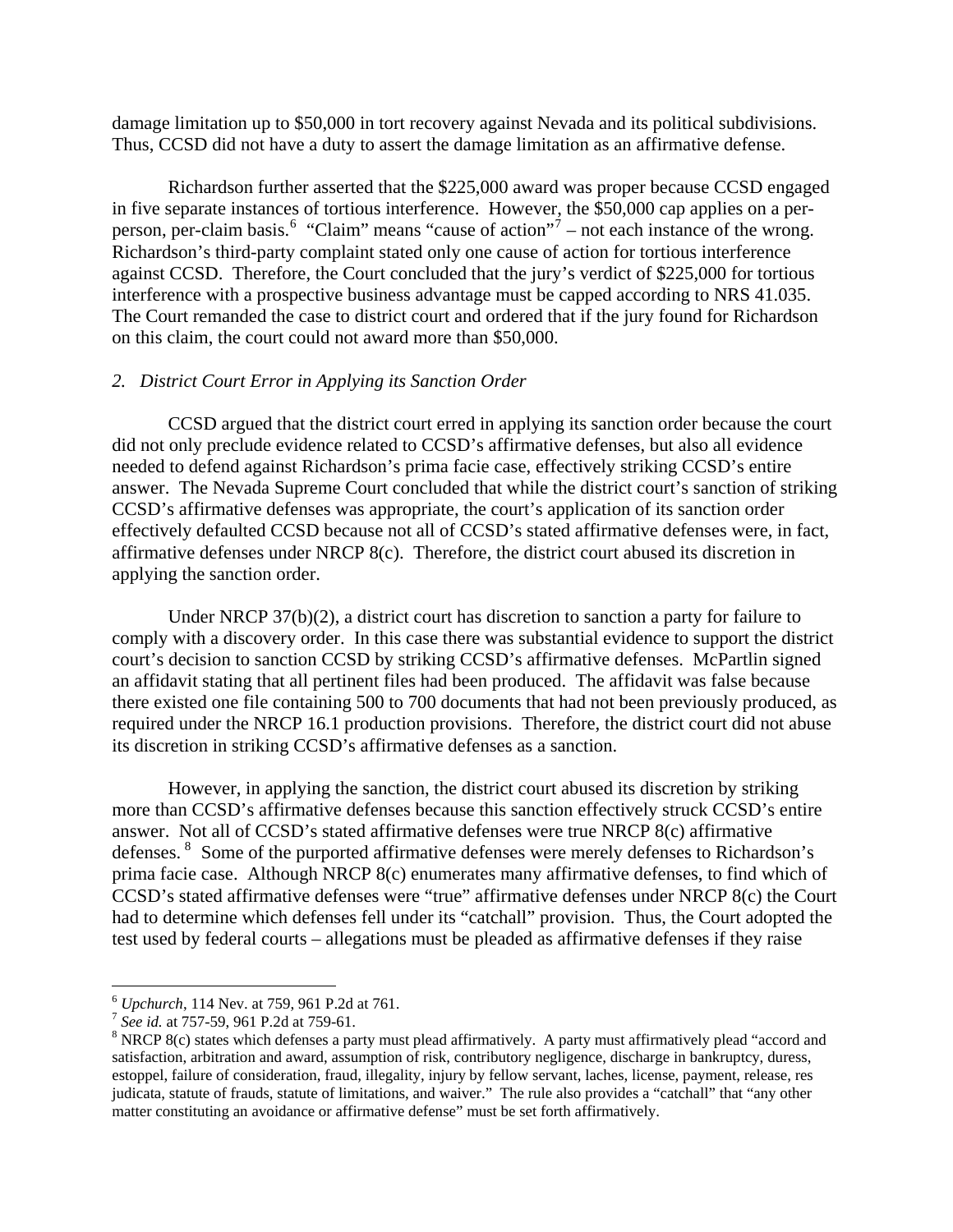damage limitation up to \$50,000 in tort recovery against Nevada and its political subdivisions. Thus, CCSD did not have a duty to assert the damage limitation as an affirmative defense.

Richardson further asserted that the \$225,000 award was proper because CCSD engaged in five separate instances of tortious interference. However, the \$50,000 cap applies on a per-person, per-claim basis.<sup>[6](#page-3-0)</sup> "Claim" means "cause of action"<sup>[7](#page-3-1)</sup> – not each instance of the wrong. Richardson's third-party complaint stated only one cause of action for tortious interference against CCSD. Therefore, the Court concluded that the jury's verdict of \$225,000 for tortious interference with a prospective business advantage must be capped according to NRS 41.035. The Court remanded the case to district court and ordered that if the jury found for Richardson on this claim, the court could not award more than \$50,000.

#### *2. District Court Error in Applying its Sanction Order*

CCSD argued that the district court erred in applying its sanction order because the court did not only preclude evidence related to CCSD's affirmative defenses, but also all evidence needed to defend against Richardson's prima facie case, effectively striking CCSD's entire answer. The Nevada Supreme Court concluded that while the district court's sanction of striking CCSD's affirmative defenses was appropriate, the court's application of its sanction order effectively defaulted CCSD because not all of CCSD's stated affirmative defenses were, in fact, affirmative defenses under NRCP 8(c). Therefore, the district court abused its discretion in applying the sanction order.

Under NRCP 37(b)(2), a district court has discretion to sanction a party for failure to comply with a discovery order. In this case there was substantial evidence to support the district court's decision to sanction CCSD by striking CCSD's affirmative defenses. McPartlin signed an affidavit stating that all pertinent files had been produced. The affidavit was false because there existed one file containing 500 to 700 documents that had not been previously produced, as required under the NRCP 16.1 production provisions. Therefore, the district court did not abuse its discretion in striking CCSD's affirmative defenses as a sanction.

However, in applying the sanction, the district court abused its discretion by striking more than CCSD's affirmative defenses because this sanction effectively struck CCSD's entire answer. Not all of CCSD's stated affirmative defenses were true NRCP 8(c) affirmative defenses. <sup>[8](#page-3-2)</sup> Some of the purported affirmative defenses were merely defenses to Richardson's prima facie case. Although NRCP 8(c) enumerates many affirmative defenses, to find which of CCSD's stated affirmative defenses were "true" affirmative defenses under NRCP 8(c) the Court had to determine which defenses fell under its "catchall" provision. Thus, the Court adopted the test used by federal courts – allegations must be pleaded as affirmative defenses if they raise

 $\overline{a}$ 

<span id="page-3-0"></span><sup>6</sup> *Upchurch*, 114 Nev. at 759, 961 P.2d at 761. 7 *See id.* at 757-59, 961 P.2d at 759-61. 8

<span id="page-3-1"></span>

<span id="page-3-2"></span><sup>&</sup>lt;sup>8</sup> NRCP 8(c) states which defenses a party must plead affirmatively. A party must affirmatively plead "accord and satisfaction, arbitration and award, assumption of risk, contributory negligence, discharge in bankruptcy, duress, estoppel, failure of consideration, fraud, illegality, injury by fellow servant, laches, license, payment, release, res judicata, statute of frauds, statute of limitations, and waiver." The rule also provides a "catchall" that "any other matter constituting an avoidance or affirmative defense" must be set forth affirmatively.